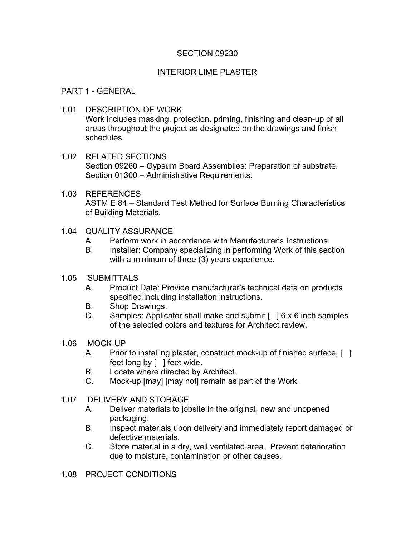# SECTION 09230

# INTERIOR LIME PLASTER

#### PART 1 - GENERAL

- 1.01 DESCRIPTION OF WORK Work includes masking, protection, priming, finishing and clean-up of all areas throughout the project as designated on the drawings and finish schedules.
- 1.02 RELATED SECTIONS Section 09260 – Gypsum Board Assemblies: Preparation of substrate. Section 01300 – Administrative Requirements.
- 1.03 REFERENCES ASTM E 84 – Standard Test Method for Surface Burning Characteristics of Building Materials.
- 1.04 QUALITY ASSURANCE
	- A. Perform work in accordance with Manufacturer's Instructions.
	- B. Installer: Company specializing in performing Work of this section with a minimum of three (3) years experience.
- 1.05 SUBMITTALS
	- A. Product Data: Provide manufacturer's technical data on products specified including installation instructions.
	- B. Shop Drawings.
	- C. Samples: Applicator shall make and submit  $\lceil \cdot \rceil$  6 x 6 inch samples of the selected colors and textures for Architect review.
- 1.06 MOCK-UP
	- A. Prior to installing plaster, construct mock-up of finished surface, [1] feet long by [ ] feet wide.
	- B. Locate where directed by Architect.
	- C. Mock-up [may] [may not] remain as part of the Work.
- 1.07 DELIVERY AND STORAGE
	- A. Deliver materials to jobsite in the original, new and unopened packaging.
	- B. Inspect materials upon delivery and immediately report damaged or defective materials.
	- C. Store material in a dry, well ventilated area. Prevent deterioration due to moisture, contamination or other causes.
- 1.08 PROJECT CONDITIONS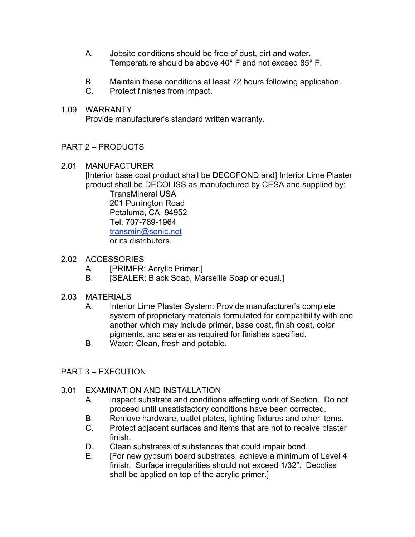- A. Jobsite conditions should be free of dust, dirt and water. Temperature should be above 40° F and not exceed 85° F.
- B. Maintain these conditions at least 72 hours following application.
- C. Protect finishes from impact.
- 1.09 WARRANTY

Provide manufacturer's standard written warranty.

# PART 2 – PRODUCTS

2.01 MANUFACTURER

[Interior base coat product shall be DECOFOND and] Interior Lime Plaster product shall be DECOLISS as manufactured by CESA and supplied by:

TransMineral USA 201 Purrington Road Petaluma, CA 94952 Tel: 707-769-1964 transmin@sonic.net or its distributors.

- 2.02 ACCESSORIES
	- A. [PRIMER: Acrylic Primer.]
	- B. [SEALER: Black Soap, Marseille Soap or equal.]
- 2.03 MATERIALS
	- A. Interior Lime Plaster System: Provide manufacturer's complete system of proprietary materials formulated for compatibility with one another which may include primer, base coat, finish coat, color pigments, and sealer as required for finishes specified.
	- B. Water: Clean, fresh and potable.
- PART 3 EXECUTION

### 3.01 EXAMINATION AND INSTALLATION

- A. Inspect substrate and conditions affecting work of Section. Do not proceed until unsatisfactory conditions have been corrected.
- B. Remove hardware, outlet plates, lighting fixtures and other items.
- C. Protect adjacent surfaces and items that are not to receive plaster finish.
- D. Clean substrates of substances that could impair bond.
- E. [For new gypsum board substrates, achieve a minimum of Level 4 finish. Surface irregularities should not exceed 1/32". Decoliss shall be applied on top of the acrylic primer.]